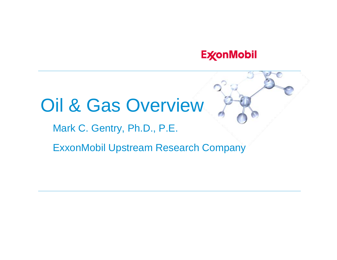### **ExconMobil**

# Oil & Gas Overview

### Mark C. Gentry, Ph.D., P.E.

ExxonMobil Upstream Research Company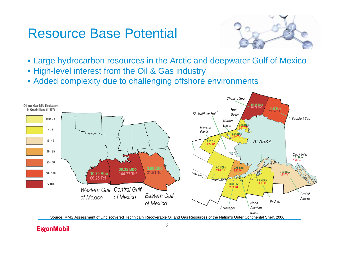## Resource Base Potential

- Large hydrocarbon resources in the Arctic and deepwater Gulf of Mexico
- High-level interest from the Oil & Gas industry
- Added complexity due to challenging offshore environments



Source: MMS Assessment of Undiscovered Technically Recoverable Oil and Gas Resources of the Nation's Outer Continental Shelf, 2006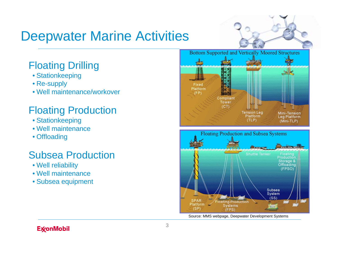## Deepwater Marine Activities

### Floating Drilling

- Stationkeeping
- Re-supply
- Well maintenance/workover

### Floating Production

- Stationkeeping
- Well maintenance
- Offloading

### Subsea Production

- Well reliability
- Well maintenance
- Subsea equipment





Source: MMS webpage, Deepwater Development Systems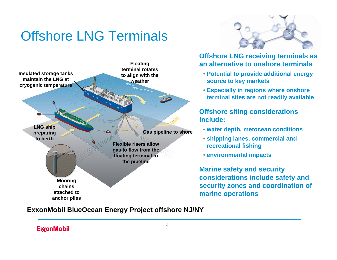## Offshore LNG Terminals



#### **Offshore LNG receiving terminals as an alternative to onshore terminals**

- **Potential to provide additional energy source to key markets**
- **Especially in regions where onshore terminal sites are not readily available**

#### **Offshore siting considerations include:**

- **water depth, metocean conditions**
- **shipping lanes, commercial and recreational fishing**
- **environmental impacts**

**Marine safety and security considerations include safety and security zones and coordination of marine operations**

#### **ExxonMobil BlueOcean Energy Project offshore NJ/NY**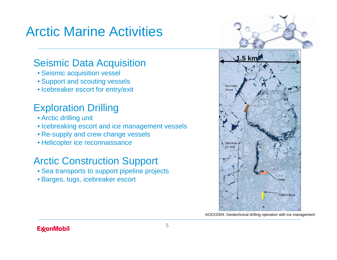## Arctic Marine Activities

### Seismic Data Acquisition

- Seismic acquisition vessel
- Support and scouting vessels
- Icebreaker escort for entry/exit

### Exploration Drilling

- Arctic drilling unit
- Icebreaking escort and ice management vessels
- Re-supply and crew change vessels
- Helicopter ice reconnaissance

### Arctic Construction Support

- Sea transports to support pipeline projects
- Barges, tugs, icebreaker escort



ACEX2004: Geotechnical drilling operation with ice management